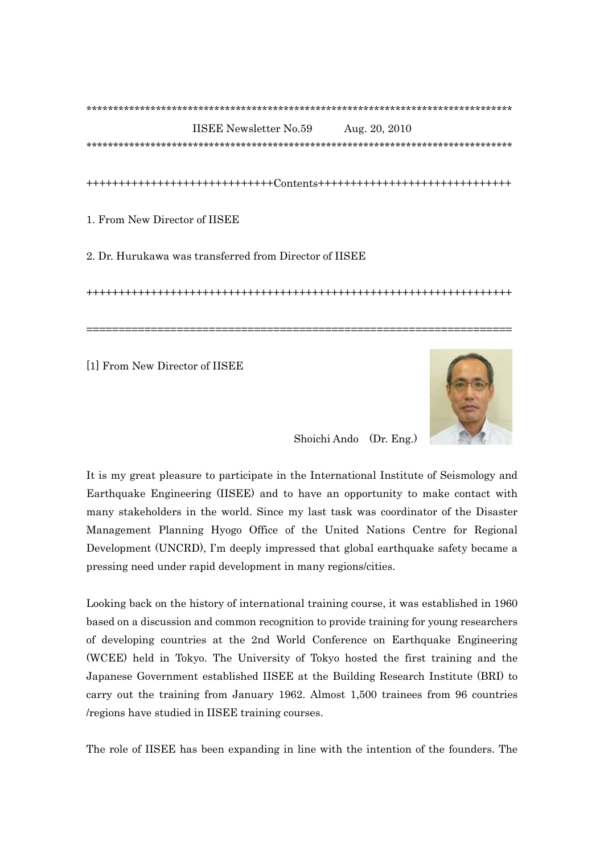| <b>IISEE Newsletter No.59</b><br>Aug. 20, 2010         |
|--------------------------------------------------------|
|                                                        |
|                                                        |
| 1. From New Director of IISEE                          |
| 2. Dr. Hurukawa was transferred from Director of IISEE |
| +++++++++++++++++                                      |
|                                                        |

[1] From New Director of IISEE



Shoichi Ando (Dr. Eng.)

It is my great pleasure to participate in the International Institute of Seismology and Earthquake Engineering (IISEE) and to have an opportunity to make contact with many stakeholders in the world. Since my last task was coordinator of the Disaster Management Planning Hyogo Office of the United Nations Centre for Regional Development (UNCRD), I'm deeply impressed that global earthquake safety became a pressing need under rapid development in many regions/cities.

Looking back on the history of international training course, it was established in 1960 based on a discussion and common recognition to provide training for young researchers of developing countries at the 2nd World Conference on Earthquake Engineering (WCEE) held in Tokyo. The University of Tokyo hosted the first training and the Japanese Government established IISEE at the Building Research Institute (BRI) to carry out the training from January 1962. Almost 1,500 trainees from 96 countries /regions have studied in IISEE training courses.

The role of IISEE has been expanding in line with the intention of the founders. The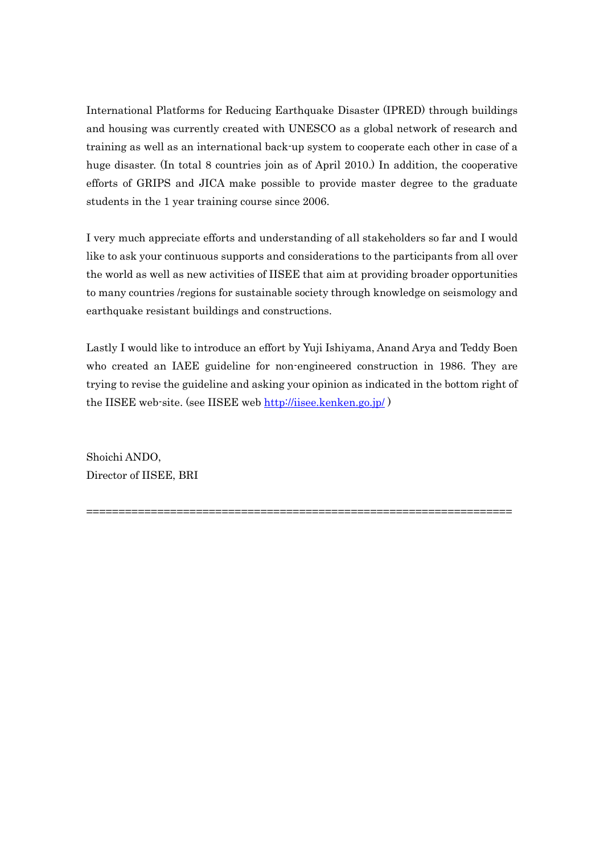International Platforms for Reducing Earthquake Disaster (IPRED) through buildings and housing was currently created with UNESCO as a global network of research and training as well as an international back-up system to cooperate each other in case of a huge disaster. (In total 8 countries join as of April 2010.) In addition, the cooperative efforts of GRIPS and JICA make possible to provide master degree to the graduate students in the 1 year training course since 2006.

I very much appreciate efforts and understanding of all stakeholders so far and I would like to ask your continuous supports and considerations to the participants from all over the world as well as new activities of IISEE that aim at providing broader opportunities to many countries /regions for sustainable society through knowledge on seismology and earthquake resistant buildings and constructions.

Lastly I would like to introduce an effort by Yuji Ishiyama, Anand Arya and Teddy Boen who created an IAEE guideline for non-engineered construction in 1986. They are trying to revise the guideline and asking your opinion as indicated in the bottom right of the IISEE web-site. (see IISEE web <http://iisee.kenken.go.jp/> )

==================================================================

Shoichi ANDO, Director of IISEE, BRI